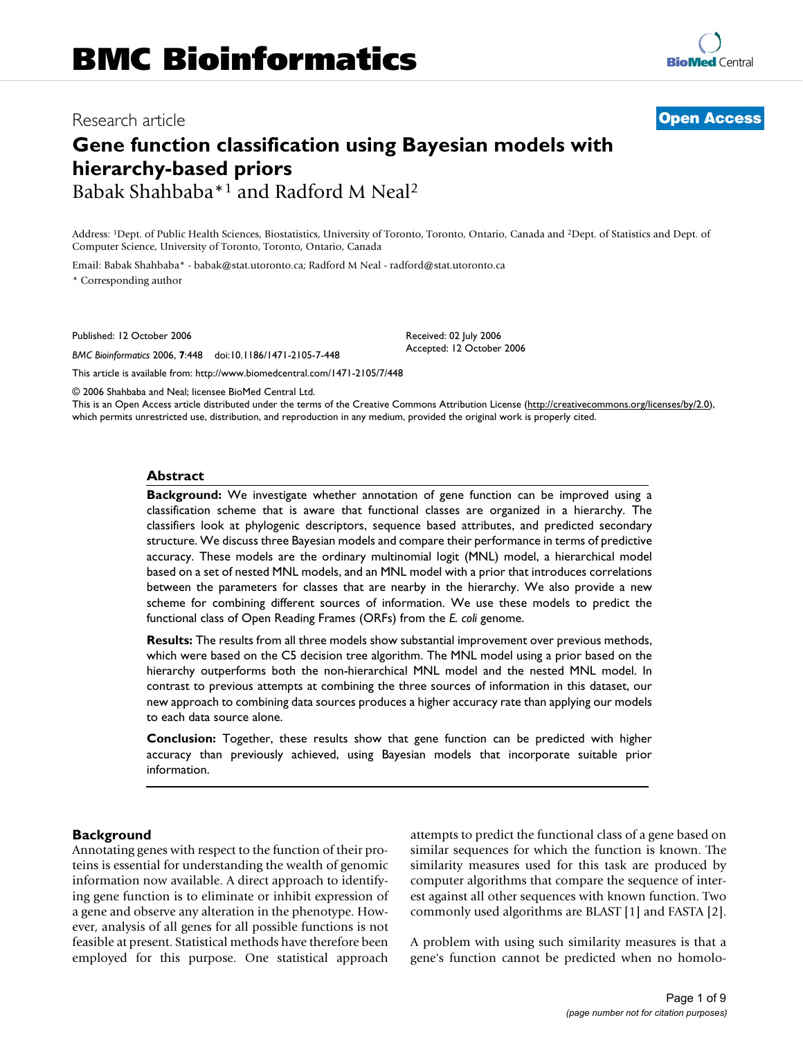# Research article **[Open Access](http://www.biomedcentral.com/info/about/charter/)**

# **Gene function classification using Bayesian models with hierarchy-based priors** Babak Shahbaba\*1 and Radford M Neal2

Address: 1Dept. of Public Health Sciences, Biostatistics, University of Toronto, Toronto, Ontario, Canada and 2Dept. of Statistics and Dept. of Computer Science, University of Toronto, Toronto, Ontario, Canada

Email: Babak Shahbaba\* - babak@stat.utoronto.ca; Radford M Neal - radford@stat.utoronto.ca \* Corresponding author

Published: 12 October 2006

*BMC Bioinformatics* 2006, **7**:448 doi:10.1186/1471-2105-7-448

[This article is available from: http://www.biomedcentral.com/1471-2105/7/448](http://www.biomedcentral.com/1471-2105/7/448)

© 2006 Shahbaba and Neal; licensee BioMed Central Ltd.

This is an Open Access article distributed under the terms of the Creative Commons Attribution License [\(http://creativecommons.org/licenses/by/2.0\)](http://creativecommons.org/licenses/by/2.0), which permits unrestricted use, distribution, and reproduction in any medium, provided the original work is properly cited.

Received: 02 July 2006 Accepted: 12 October 2006

#### **Abstract**

**Background:** We investigate whether annotation of gene function can be improved using a classification scheme that is aware that functional classes are organized in a hierarchy. The classifiers look at phylogenic descriptors, sequence based attributes, and predicted secondary structure. We discuss three Bayesian models and compare their performance in terms of predictive accuracy. These models are the ordinary multinomial logit (MNL) model, a hierarchical model based on a set of nested MNL models, and an MNL model with a prior that introduces correlations between the parameters for classes that are nearby in the hierarchy. We also provide a new scheme for combining different sources of information. We use these models to predict the functional class of Open Reading Frames (ORFs) from the *E. coli* genome.

**Results:** The results from all three models show substantial improvement over previous methods, which were based on the C5 decision tree algorithm. The MNL model using a prior based on the hierarchy outperforms both the non-hierarchical MNL model and the nested MNL model. In contrast to previous attempts at combining the three sources of information in this dataset, our new approach to combining data sources produces a higher accuracy rate than applying our models to each data source alone.

**Conclusion:** Together, these results show that gene function can be predicted with higher accuracy than previously achieved, using Bayesian models that incorporate suitable prior information.

#### **Background**

Annotating genes with respect to the function of their proteins is essential for understanding the wealth of genomic information now available. A direct approach to identifying gene function is to eliminate or inhibit expression of a gene and observe any alteration in the phenotype. However, analysis of all genes for all possible functions is not feasible at present. Statistical methods have therefore been employed for this purpose. One statistical approach attempts to predict the functional class of a gene based on similar sequences for which the function is known. The similarity measures used for this task are produced by computer algorithms that compare the sequence of interest against all other sequences with known function. Two commonly used algorithms are BLAST [1] and FASTA [2].

A problem with using such similarity measures is that a gene's function cannot be predicted when no homolo-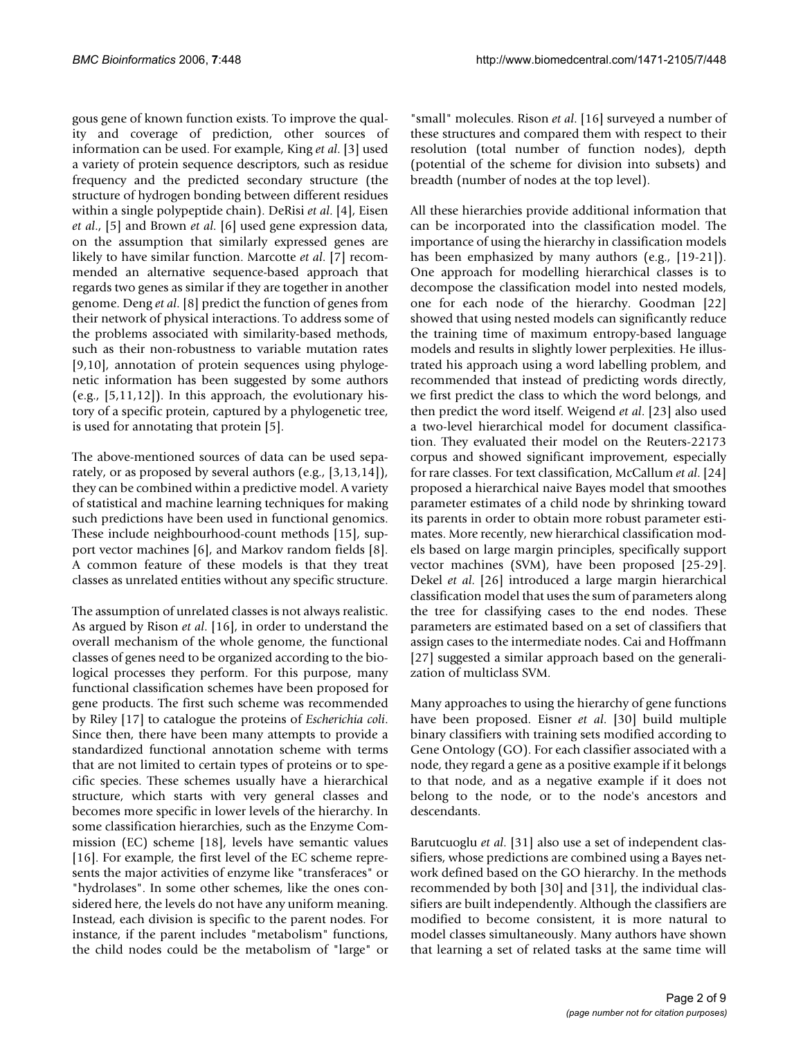gous gene of known function exists. To improve the quality and coverage of prediction, other sources of information can be used. For example, King *et al*. [3] used a variety of protein sequence descriptors, such as residue frequency and the predicted secondary structure (the structure of hydrogen bonding between different residues within a single polypeptide chain). DeRisi *et al*. [4], Eisen *et al*., [5] and Brown *et al*. [6] used gene expression data, on the assumption that similarly expressed genes are likely to have similar function. Marcotte *et al*. [7] recommended an alternative sequence-based approach that regards two genes as similar if they are together in another genome. Deng *et al*. [8] predict the function of genes from their network of physical interactions. To address some of the problems associated with similarity-based methods, such as their non-robustness to variable mutation rates [9,10], annotation of protein sequences using phylogenetic information has been suggested by some authors (e.g.,  $[5,11,12]$ ). In this approach, the evolutionary history of a specific protein, captured by a phylogenetic tree, is used for annotating that protein [5].

The above-mentioned sources of data can be used separately, or as proposed by several authors (e.g., [3,13,14]), they can be combined within a predictive model. A variety of statistical and machine learning techniques for making such predictions have been used in functional genomics. These include neighbourhood-count methods [15], support vector machines [6], and Markov random fields [8]. A common feature of these models is that they treat classes as unrelated entities without any specific structure.

The assumption of unrelated classes is not always realistic. As argued by Rison *et al*. [16], in order to understand the overall mechanism of the whole genome, the functional classes of genes need to be organized according to the biological processes they perform. For this purpose, many functional classification schemes have been proposed for gene products. The first such scheme was recommended by Riley [17] to catalogue the proteins of *Escherichia coli*. Since then, there have been many attempts to provide a standardized functional annotation scheme with terms that are not limited to certain types of proteins or to specific species. These schemes usually have a hierarchical structure, which starts with very general classes and becomes more specific in lower levels of the hierarchy. In some classification hierarchies, such as the Enzyme Commission (EC) scheme [18], levels have semantic values [16]. For example, the first level of the EC scheme represents the major activities of enzyme like "transferaces" or "hydrolases". In some other schemes, like the ones considered here, the levels do not have any uniform meaning. Instead, each division is specific to the parent nodes. For instance, if the parent includes "metabolism" functions, the child nodes could be the metabolism of "large" or

"small" molecules. Rison *et al*. [16] surveyed a number of these structures and compared them with respect to their resolution (total number of function nodes), depth (potential of the scheme for division into subsets) and breadth (number of nodes at the top level).

All these hierarchies provide additional information that can be incorporated into the classification model. The importance of using the hierarchy in classification models has been emphasized by many authors (e.g., [19-21]). One approach for modelling hierarchical classes is to decompose the classification model into nested models, one for each node of the hierarchy. Goodman [22] showed that using nested models can significantly reduce the training time of maximum entropy-based language models and results in slightly lower perplexities. He illustrated his approach using a word labelling problem, and recommended that instead of predicting words directly, we first predict the class to which the word belongs, and then predict the word itself. Weigend *et al*. [23] also used a two-level hierarchical model for document classification. They evaluated their model on the Reuters-22173 corpus and showed significant improvement, especially for rare classes. For text classification, McCallum *et al*. [24] proposed a hierarchical naive Bayes model that smoothes parameter estimates of a child node by shrinking toward its parents in order to obtain more robust parameter estimates. More recently, new hierarchical classification models based on large margin principles, specifically support vector machines (SVM), have been proposed [25-29]. Dekel *et al*. [26] introduced a large margin hierarchical classification model that uses the sum of parameters along the tree for classifying cases to the end nodes. These parameters are estimated based on a set of classifiers that assign cases to the intermediate nodes. Cai and Hoffmann [27] suggested a similar approach based on the generalization of multiclass SVM.

Many approaches to using the hierarchy of gene functions have been proposed. Eisner *et al*. [30] build multiple binary classifiers with training sets modified according to Gene Ontology (GO). For each classifier associated with a node, they regard a gene as a positive example if it belongs to that node, and as a negative example if it does not belong to the node, or to the node's ancestors and descendants.

Barutcuoglu *et al*. [31] also use a set of independent classifiers, whose predictions are combined using a Bayes network defined based on the GO hierarchy. In the methods recommended by both [30] and [31], the individual classifiers are built independently. Although the classifiers are modified to become consistent, it is more natural to model classes simultaneously. Many authors have shown that learning a set of related tasks at the same time will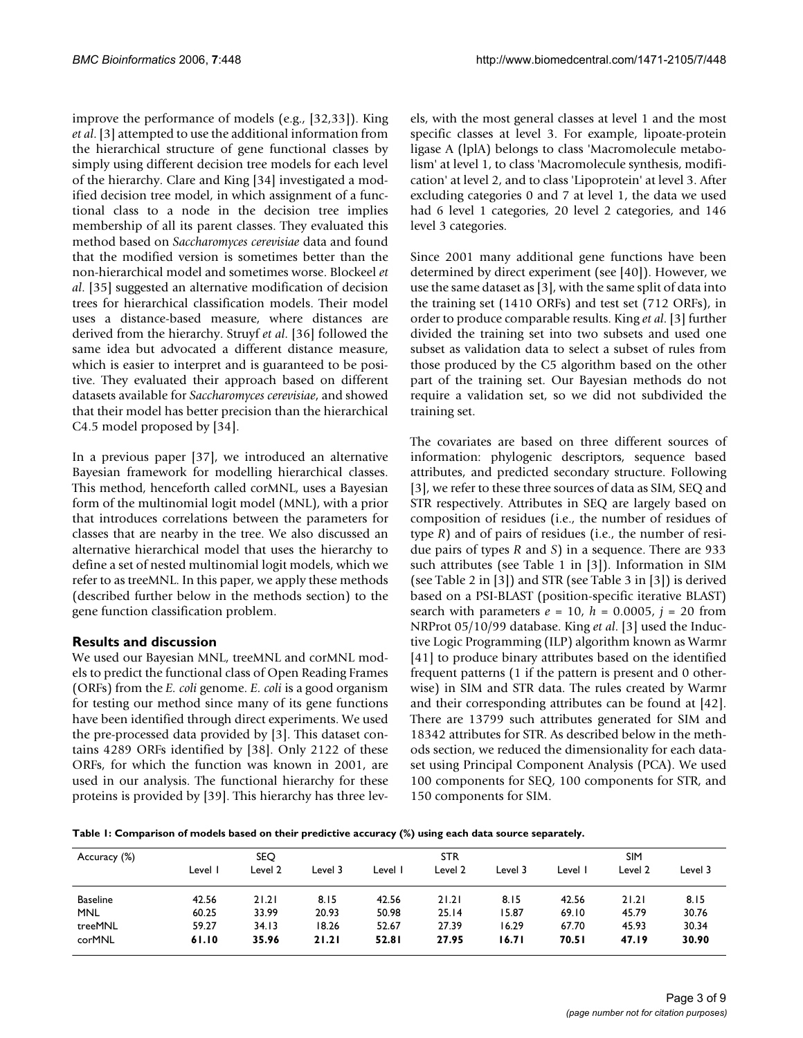improve the performance of models (e.g., [32,33]). King *et al*. [3] attempted to use the additional information from the hierarchical structure of gene functional classes by simply using different decision tree models for each level of the hierarchy. Clare and King [34] investigated a modified decision tree model, in which assignment of a functional class to a node in the decision tree implies membership of all its parent classes. They evaluated this method based on *Saccharomyces cerevisiae* data and found that the modified version is sometimes better than the non-hierarchical model and sometimes worse. Blockeel *et al*. [35] suggested an alternative modification of decision trees for hierarchical classification models. Their model uses a distance-based measure, where distances are derived from the hierarchy. Struyf *et al*. [36] followed the same idea but advocated a different distance measure, which is easier to interpret and is guaranteed to be positive. They evaluated their approach based on different datasets available for *Saccharomyces cerevisiae*, and showed that their model has better precision than the hierarchical C4.5 model proposed by [34].

In a previous paper [37], we introduced an alternative Bayesian framework for modelling hierarchical classes. This method, henceforth called corMNL, uses a Bayesian form of the multinomial logit model (MNL), with a prior that introduces correlations between the parameters for classes that are nearby in the tree. We also discussed an alternative hierarchical model that uses the hierarchy to define a set of nested multinomial logit models, which we refer to as treeMNL. In this paper, we apply these methods (described further below in the methods section) to the gene function classification problem.

# **Results and discussion**

We used our Bayesian MNL, treeMNL and corMNL models to predict the functional class of Open Reading Frames (ORFs) from the *E. coli* genome. *E. coli* is a good organism for testing our method since many of its gene functions have been identified through direct experiments. We used the pre-processed data provided by [3]. This dataset contains 4289 ORFs identified by [38]. Only 2122 of these ORFs, for which the function was known in 2001, are used in our analysis. The functional hierarchy for these proteins is provided by [39]. This hierarchy has three levels, with the most general classes at level 1 and the most specific classes at level 3. For example, lipoate-protein ligase A (lplA) belongs to class 'Macromolecule metabolism' at level 1, to class 'Macromolecule synthesis, modification' at level 2, and to class 'Lipoprotein' at level 3. After excluding categories 0 and 7 at level 1, the data we used had 6 level 1 categories, 20 level 2 categories, and 146 level 3 categories.

Since 2001 many additional gene functions have been determined by direct experiment (see [40]). However, we use the same dataset as [3], with the same split of data into the training set (1410 ORFs) and test set (712 ORFs), in order to produce comparable results. King *et al*. [3] further divided the training set into two subsets and used one subset as validation data to select a subset of rules from those produced by the C5 algorithm based on the other part of the training set. Our Bayesian methods do not require a validation set, so we did not subdivided the training set.

The covariates are based on three different sources of information: phylogenic descriptors, sequence based attributes, and predicted secondary structure. Following [3], we refer to these three sources of data as SIM, SEQ and STR respectively. Attributes in SEQ are largely based on composition of residues (i.e., the number of residues of type *R*) and of pairs of residues (i.e., the number of residue pairs of types *R* and *S*) in a sequence. There are 933 such attributes (see Table 1 in [3]). Information in SIM (see Table 2 in [3]) and STR (see Table 3 in [3]) is derived based on a PSI-BLAST (position-specific iterative BLAST) search with parameters  $e = 10$ ,  $h = 0.0005$ ,  $j = 20$  from NRProt 05/10/99 database. King *et al*. [3] used the Inductive Logic Programming (ILP) algorithm known as Warmr [41] to produce binary attributes based on the identified frequent patterns (1 if the pattern is present and 0 otherwise) in SIM and STR data. The rules created by Warmr and their corresponding attributes can be found at [42]. There are 13799 such attributes generated for SIM and 18342 attributes for STR. As described below in the methods section, we reduced the dimensionality for each dataset using Principal Component Analysis (PCA). We used 100 components for SEQ, 100 components for STR, and 150 components for SIM.

**Table 1: Comparison of models based on their predictive accuracy (%) using each data source separately.**

| Accuracy (%)    | SEO     |         |         | <b>STR</b> |         |         | <b>SIM</b> |         |         |
|-----------------|---------|---------|---------|------------|---------|---------|------------|---------|---------|
|                 | Level I | Level 2 | Level 3 | Level I    | Level 2 | Level 3 | Level I    | Level 2 | Level 3 |
| <b>Baseline</b> | 42.56   | 21.21   | 8.15    | 42.56      | 21.21   | 8.15    | 42.56      | 21.21   | 8.15    |
| <b>MNL</b>      | 60.25   | 33.99   | 20.93   | 50.98      | 25.14   | 15.87   | 69.10      | 45.79   | 30.76   |
| treeMNL         | 59.27   | 34.13   | 18.26   | 52.67      | 27.39   | 16.29   | 67.70      | 45.93   | 30.34   |
| corMNL          | 61.10   | 35.96   | 21.21   | 52.81      | 27.95   | 16.71   | 70.51      | 47.19   | 30.90   |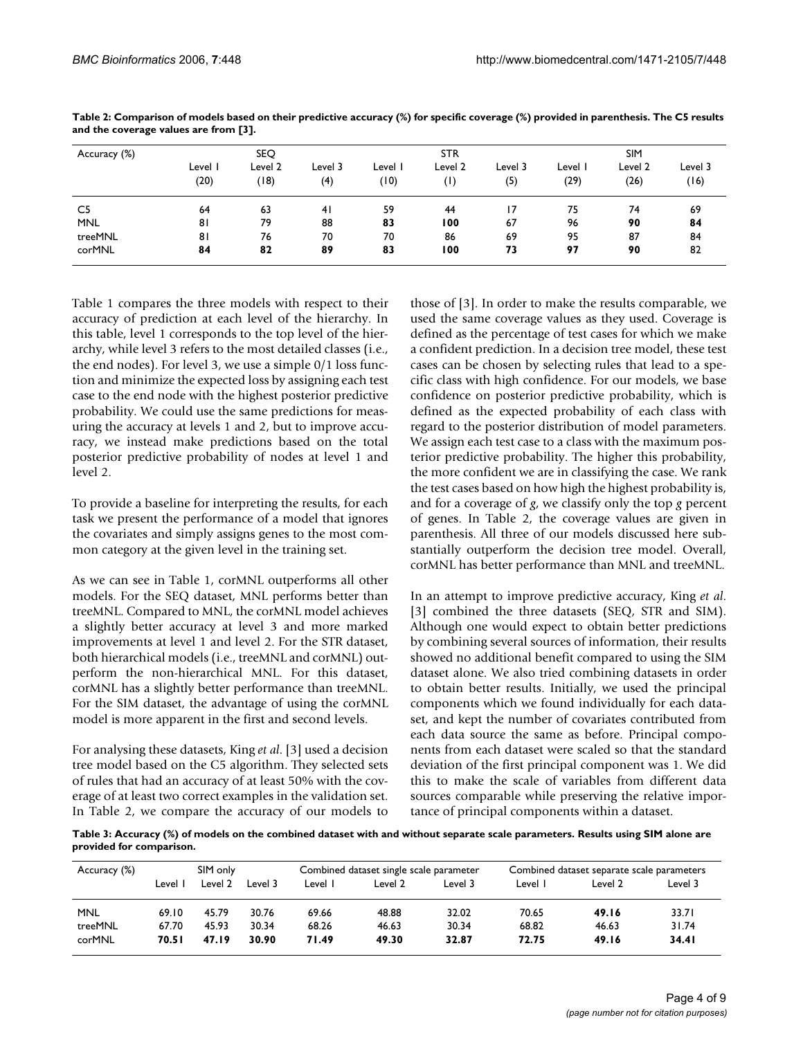| Accuracy (%) | <b>SEQ</b>      |                 |                | <b>STR</b>      |                |                | <b>SIM</b>    |                 |                 |
|--------------|-----------------|-----------------|----------------|-----------------|----------------|----------------|---------------|-----------------|-----------------|
|              | Level I<br>(20) | Level 2<br>(18) | Level 3<br>(4) | Level I<br>(10) | Level 2<br>(1) | Level 3<br>(5) | Level<br>(29) | Level 2<br>(26) | Level 3<br>(16) |
| C5           | 64              | 63              | 4 I            | 59              | 44             | 17             | 75            | 74              | 69              |
| <b>MNL</b>   | 81              | 79              | 88             | 83              | 100            | 67             | 96            | 90              | 84              |
| treeMNL      | 81              | 76              | 70             | 70              | 86             | 69             | 95            | 87              | 84              |
| corMNL       | 84              | 82              | 89             | 83              | 100            | 73             | 97            | 90              | 82              |

**Table 2: Comparison of models based on their predictive accuracy (%) for specific coverage (%) provided in parenthesis. The C5 results and the coverage values are from [3].**

Table 1 compares the three models with respect to their accuracy of prediction at each level of the hierarchy. In this table, level 1 corresponds to the top level of the hierarchy, while level 3 refers to the most detailed classes (i.e., the end nodes). For level 3, we use a simple 0/1 loss function and minimize the expected loss by assigning each test case to the end node with the highest posterior predictive probability. We could use the same predictions for measuring the accuracy at levels 1 and 2, but to improve accuracy, we instead make predictions based on the total posterior predictive probability of nodes at level 1 and level 2.

To provide a baseline for interpreting the results, for each task we present the performance of a model that ignores the covariates and simply assigns genes to the most common category at the given level in the training set.

As we can see in Table 1, corMNL outperforms all other models. For the SEQ dataset, MNL performs better than treeMNL. Compared to MNL, the corMNL model achieves a slightly better accuracy at level 3 and more marked improvements at level 1 and level 2. For the STR dataset, both hierarchical models (i.e., treeMNL and corMNL) outperform the non-hierarchical MNL. For this dataset, corMNL has a slightly better performance than treeMNL. For the SIM dataset, the advantage of using the corMNL model is more apparent in the first and second levels.

For analysing these datasets, King *et al*. [3] used a decision tree model based on the C5 algorithm. They selected sets of rules that had an accuracy of at least 50% with the coverage of at least two correct examples in the validation set. In Table 2, we compare the accuracy of our models to

those of [3]. In order to make the results comparable, we used the same coverage values as they used. Coverage is defined as the percentage of test cases for which we make a confident prediction. In a decision tree model, these test cases can be chosen by selecting rules that lead to a specific class with high confidence. For our models, we base confidence on posterior predictive probability, which is defined as the expected probability of each class with regard to the posterior distribution of model parameters. We assign each test case to a class with the maximum posterior predictive probability. The higher this probability, the more confident we are in classifying the case. We rank the test cases based on how high the highest probability is, and for a coverage of *g*, we classify only the top *g* percent of genes. In Table 2, the coverage values are given in parenthesis. All three of our models discussed here substantially outperform the decision tree model. Overall, corMNL has better performance than MNL and treeMNL.

In an attempt to improve predictive accuracy, King *et al*. [3] combined the three datasets (SEQ, STR and SIM). Although one would expect to obtain better predictions by combining several sources of information, their results showed no additional benefit compared to using the SIM dataset alone. We also tried combining datasets in order to obtain better results. Initially, we used the principal components which we found individually for each dataset, and kept the number of covariates contributed from each data source the same as before. Principal components from each dataset were scaled so that the standard deviation of the first principal component was 1. We did this to make the scale of variables from different data sources comparable while preserving the relative importance of principal components within a dataset.

**Table 3: Accuracy (%) of models on the combined dataset with and without separate scale parameters. Results using SIM alone are provided for comparison.**

| Accuracy (%) | SIM only |         |         | Combined dataset single scale parameter |         |         | Combined dataset separate scale parameters |         |         |
|--------------|----------|---------|---------|-----------------------------------------|---------|---------|--------------------------------------------|---------|---------|
|              | Level    | Level 2 | Level 3 | Level I                                 | Level 2 | Level 3 | Level                                      | Level 2 | Level 3 |
| <b>MNL</b>   | 69.10    | 45.79   | 30.76   | 69.66                                   | 48.88   | 32.02   | 70.65                                      | 49.16   | 33.71   |
| treeMNL      | 67.70    | 45.93   | 30.34   | 68.26                                   | 46.63   | 30.34   | 68.82                                      | 46.63   | 31.74   |
| corMNL       | 70.5 I   | 47.19   | 30.90   | 71.49                                   | 49.30   | 32.87   | 72.75                                      | 49.16   | 34.4I   |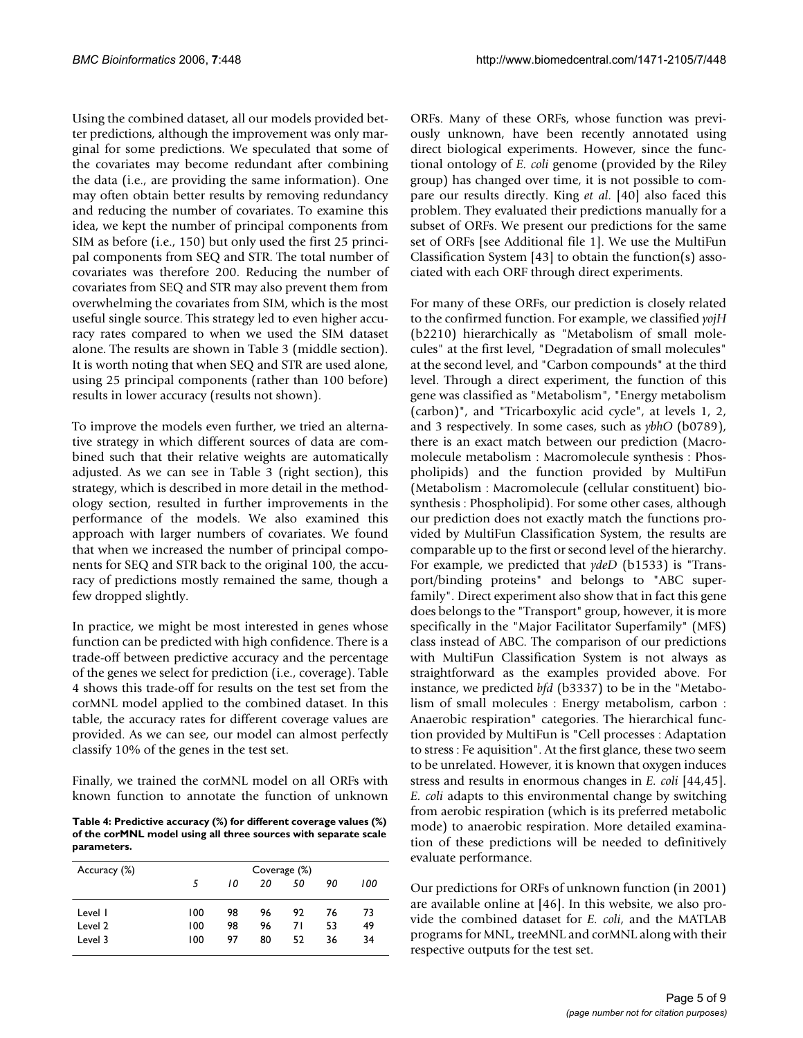Using the combined dataset, all our models provided better predictions, although the improvement was only marginal for some predictions. We speculated that some of the covariates may become redundant after combining the data (i.e., are providing the same information). One may often obtain better results by removing redundancy and reducing the number of covariates. To examine this idea, we kept the number of principal components from SIM as before (i.e., 150) but only used the first 25 principal components from SEQ and STR. The total number of covariates was therefore 200. Reducing the number of covariates from SEQ and STR may also prevent them from overwhelming the covariates from SIM, which is the most useful single source. This strategy led to even higher accuracy rates compared to when we used the SIM dataset alone. The results are shown in Table 3 (middle section). It is worth noting that when SEQ and STR are used alone, using 25 principal components (rather than 100 before) results in lower accuracy (results not shown).

To improve the models even further, we tried an alternative strategy in which different sources of data are combined such that their relative weights are automatically adjusted. As we can see in Table 3 (right section), this strategy, which is described in more detail in the methodology section, resulted in further improvements in the performance of the models. We also examined this approach with larger numbers of covariates. We found that when we increased the number of principal components for SEQ and STR back to the original 100, the accuracy of predictions mostly remained the same, though a few dropped slightly.

In practice, we might be most interested in genes whose function can be predicted with high confidence. There is a trade-off between predictive accuracy and the percentage of the genes we select for prediction (i.e., coverage). Table 4 shows this trade-off for results on the test set from the corMNL model applied to the combined dataset. In this table, the accuracy rates for different coverage values are provided. As we can see, our model can almost perfectly classify 10% of the genes in the test set.

Finally, we trained the corMNL model on all ORFs with known function to annotate the function of unknown

**Table 4: Predictive accuracy (%) for different coverage values (%) of the corMNL model using all three sources with separate scale parameters.**

| Accuracy (%) | Coverage (%) |    |    |    |    |     |  |  |
|--------------|--------------|----|----|----|----|-----|--|--|
|              | 5            | 10 | 20 | 50 | 90 | 100 |  |  |
| Level I      | 100          | 98 | 96 | 92 | 76 | 73  |  |  |
| Level 2      | 100          | 98 | 96 | 71 | 53 | 49  |  |  |
| Level 3      | 100          | 97 | 80 | 52 | 36 | 34  |  |  |

ORFs. Many of these ORFs, whose function was previously unknown, have been recently annotated using direct biological experiments. However, since the functional ontology of *E. coli* genome (provided by the Riley group) has changed over time, it is not possible to compare our results directly. King *et al*. [40] also faced this problem. They evaluated their predictions manually for a subset of ORFs. We present our predictions for the same set of ORFs [see Additional file 1]. We use the MultiFun Classification System [43] to obtain the function(s) associated with each ORF through direct experiments.

For many of these ORFs, our prediction is closely related to the confirmed function. For example, we classified *yojH* (b2210) hierarchically as "Metabolism of small molecules" at the first level, "Degradation of small molecules" at the second level, and "Carbon compounds" at the third level. Through a direct experiment, the function of this gene was classified as "Metabolism", "Energy metabolism (carbon)", and "Tricarboxylic acid cycle", at levels 1, 2, and 3 respectively. In some cases, such as *ybhO* (b0789), there is an exact match between our prediction (Macromolecule metabolism : Macromolecule synthesis : Phospholipids) and the function provided by MultiFun (Metabolism : Macromolecule (cellular constituent) biosynthesis : Phospholipid). For some other cases, although our prediction does not exactly match the functions provided by MultiFun Classification System, the results are comparable up to the first or second level of the hierarchy. For example, we predicted that *ydeD* (b1533) is "Transport/binding proteins" and belongs to "ABC superfamily". Direct experiment also show that in fact this gene does belongs to the "Transport" group, however, it is more specifically in the "Major Facilitator Superfamily" (MFS) class instead of ABC. The comparison of our predictions with MultiFun Classification System is not always as straightforward as the examples provided above. For instance, we predicted *bfd* (b3337) to be in the "Metabolism of small molecules : Energy metabolism, carbon : Anaerobic respiration" categories. The hierarchical function provided by MultiFun is "Cell processes : Adaptation to stress : Fe aquisition". At the first glance, these two seem to be unrelated. However, it is known that oxygen induces stress and results in enormous changes in *E. coli* [44,45]. *E. coli* adapts to this environmental change by switching from aerobic respiration (which is its preferred metabolic mode) to anaerobic respiration. More detailed examination of these predictions will be needed to definitively evaluate performance.

Our predictions for ORFs of unknown function (in 2001) are available online at [46]. In this website, we also provide the combined dataset for *E. coli*, and the MATLAB programs for MNL, treeMNL and corMNL along with their respective outputs for the test set.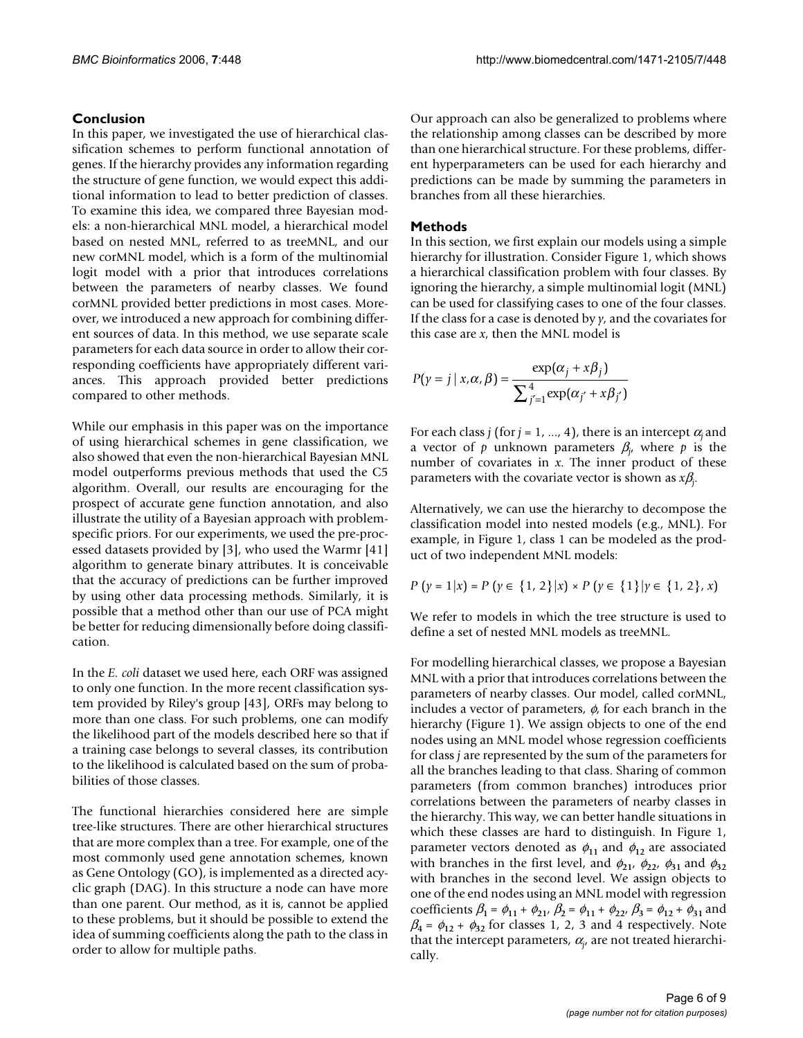# **Conclusion**

In this paper, we investigated the use of hierarchical classification schemes to perform functional annotation of genes. If the hierarchy provides any information regarding the structure of gene function, we would expect this additional information to lead to better prediction of classes. To examine this idea, we compared three Bayesian models: a non-hierarchical MNL model, a hierarchical model based on nested MNL, referred to as treeMNL, and our new corMNL model, which is a form of the multinomial logit model with a prior that introduces correlations between the parameters of nearby classes. We found corMNL provided better predictions in most cases. Moreover, we introduced a new approach for combining different sources of data. In this method, we use separate scale parameters for each data source in order to allow their corresponding coefficients have appropriately different variances. This approach provided better predictions compared to other methods.

While our emphasis in this paper was on the importance of using hierarchical schemes in gene classification, we also showed that even the non-hierarchical Bayesian MNL model outperforms previous methods that used the C5 algorithm. Overall, our results are encouraging for the prospect of accurate gene function annotation, and also illustrate the utility of a Bayesian approach with problemspecific priors. For our experiments, we used the pre-processed datasets provided by [3], who used the Warmr [41] algorithm to generate binary attributes. It is conceivable that the accuracy of predictions can be further improved by using other data processing methods. Similarly, it is possible that a method other than our use of PCA might be better for reducing dimensionally before doing classification.

In the *E. coli* dataset we used here, each ORF was assigned to only one function. In the more recent classification system provided by Riley's group [43], ORFs may belong to more than one class. For such problems, one can modify the likelihood part of the models described here so that if a training case belongs to several classes, its contribution to the likelihood is calculated based on the sum of probabilities of those classes.

The functional hierarchies considered here are simple tree-like structures. There are other hierarchical structures that are more complex than a tree. For example, one of the most commonly used gene annotation schemes, known as Gene Ontology (GO), is implemented as a directed acyclic graph (DAG). In this structure a node can have more than one parent. Our method, as it is, cannot be applied to these problems, but it should be possible to extend the idea of summing coefficients along the path to the class in order to allow for multiple paths.

Our approach can also be generalized to problems where the relationship among classes can be described by more than one hierarchical structure. For these problems, different hyperparameters can be used for each hierarchy and predictions can be made by summing the parameters in branches from all these hierarchies.

# **Methods**

In this section, we first explain our models using a simple hierarchy for illustration. Consider Figure 1, which shows a hierarchical classification problem with four classes. By ignoring the hierarchy, a simple multinomial logit (MNL) can be used for classifying cases to one of the four classes. If the class for a case is denoted by *y*, and the covariates for this case are *x*, then the MNL model is

$$
P(\gamma = j \mid x, \alpha, \beta) = \frac{\exp(\alpha_j + x\beta_j)}{\sum_{j'=1}^4 \exp(\alpha_{j'} + x\beta_{j'})}
$$

For each class *j* (for *j* = 1, ..., 4), there is an intercept  $\alpha$ <sub>*i*</sub> and a vector of *p* unknown parameters β*<sup>j</sup>* , where *p* is the number of covariates in *x*. The inner product of these parameters with the covariate vector is shown as *x*β*<sup>j</sup>* .

Alternatively, we can use the hierarchy to decompose the classification model into nested models (e.g., MNL). For example, in Figure 1, class 1 can be modeled as the product of two independent MNL models:

$$
P(y = 1 | x) = P(y \in \{1, 2\} | x) \times P(y \in \{1\} | y \in \{1, 2\}, x)
$$

We refer to models in which the tree structure is used to define a set of nested MNL models as treeMNL.

For modelling hierarchical classes, we propose a Bayesian MNL with a prior that introduces correlations between the parameters of nearby classes. Our model, called corMNL, includes a vector of parameters,  $\phi$ , for each branch in the hierarchy (Figure 1). We assign objects to one of the end nodes using an MNL model whose regression coefficients for class *j* are represented by the sum of the parameters for all the branches leading to that class. Sharing of common parameters (from common branches) introduces prior correlations between the parameters of nearby classes in the hierarchy. This way, we can better handle situations in which these classes are hard to distinguish. In Figure 1, parameter vectors denoted as  $\phi_{11}$  and  $\phi_{12}$  are associated with branches in the first level, and  $\phi_{21}$ ,  $\phi_{22}$ ,  $\phi_{31}$  and  $\phi_{32}$ with branches in the second level. We assign objects to one of the end nodes using an MNL model with regression coefficients  $\beta_1 = \phi_{11} + \phi_{21}$ ,  $\beta_2 = \phi_{11} + \phi_{22}$ ,  $\beta_3 = \phi_{12} + \phi_{31}$  and  $\beta_4 = \phi_{12} + \phi_{32}$  for classes 1, 2, 3 and 4 respectively. Note that the intercept parameters, <sup>α</sup>*<sup>j</sup>* , are not treated hierarchically.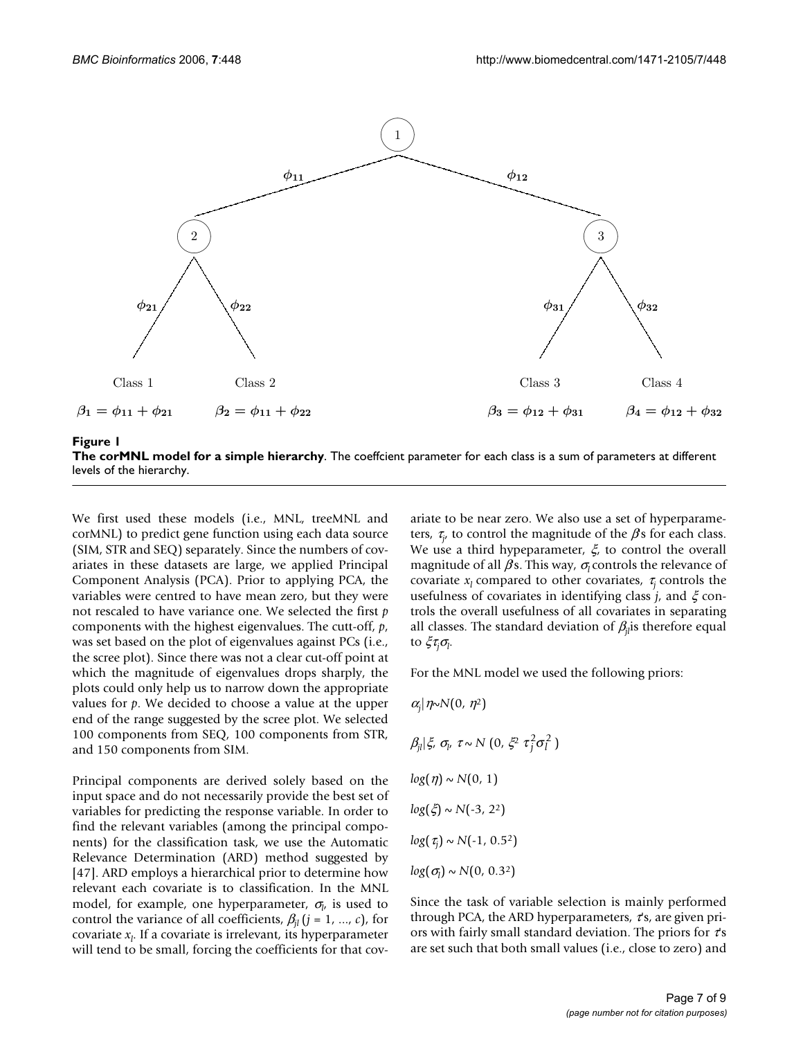

**The corMNL model for a simple hierarchy**. The coeffcient parameter for each class is a sum of parameters at different levels of the hierarchy.

We first used these models (i.e., MNL, treeMNL and corMNL) to predict gene function using each data source (SIM, STR and SEQ) separately. Since the numbers of covariates in these datasets are large, we applied Principal Component Analysis (PCA). Prior to applying PCA, the variables were centred to have mean zero, but they were not rescaled to have variance one. We selected the first *p* components with the highest eigenvalues. The cutt-off, *p*, was set based on the plot of eigenvalues against PCs (i.e., the scree plot). Since there was not a clear cut-off point at which the magnitude of eigenvalues drops sharply, the plots could only help us to narrow down the appropriate values for *p*. We decided to choose a value at the upper end of the range suggested by the scree plot. We selected 100 components from SEQ, 100 components from STR, and 150 components from SIM.

Principal components are derived solely based on the input space and do not necessarily provide the best set of variables for predicting the response variable. In order to find the relevant variables (among the principal components) for the classification task, we use the Automatic Relevance Determination (ARD) method suggested by [47]. ARD employs a hierarchical prior to determine how relevant each covariate is to classification. In the MNL model, for example, one hyperparameter, *σ*<sub>*l*</sub>, is used to control the variance of all coefficients,  $\beta_{jl}$  (*j* = 1, ..., *c*), for covariate *xl* . If a covariate is irrelevant, its hyperparameter will tend to be small, forcing the coefficients for that covariate to be near zero. We also use a set of hyperparameters,  $\tau_{j'}$  to control the magnitude of the  $\beta$ s for each class. We use a third hypeparameter,  $\xi$ , to control the overall magnitude of all  $\beta$ s. This way,  $\sigma$ <sub>c</sub> controls the relevance of covariate  $x_i$  compared to other covariates,  $\tau_i$  controls the usefulness of covariates in identifying class *j*, and  $\xi$  controls the overall usefulness of all covariates in separating all classes. The standard deviation of β*jl*is therefore equal to ξτ*<sup>j</sup>* σ*l* .

For the MNL model we used the following priors:

$$
\alpha_j |\eta \sim N(0, \eta^2)
$$
  
\n
$$
\beta_{jl} |\xi, \sigma_l, \tau \sim N(0, \xi^2 \tau_j^2 \sigma_l^2)
$$
  
\n
$$
\log(\eta) \sim N(0, 1)
$$
  
\n
$$
\log(\xi) \sim N(-3, 2^2)
$$
  
\n
$$
\log(\tau_j) \sim N(-1, 0.5^2)
$$
  
\n
$$
\log(\sigma_l) \sim N(0, 0.3^2)
$$

Since the task of variable selection is mainly performed through PCA, the ARD hyperparameters,  $\tau$ s, are given priors with fairly small standard deviation. The priors for  $\tau$ 's are set such that both small values (i.e., close to zero) and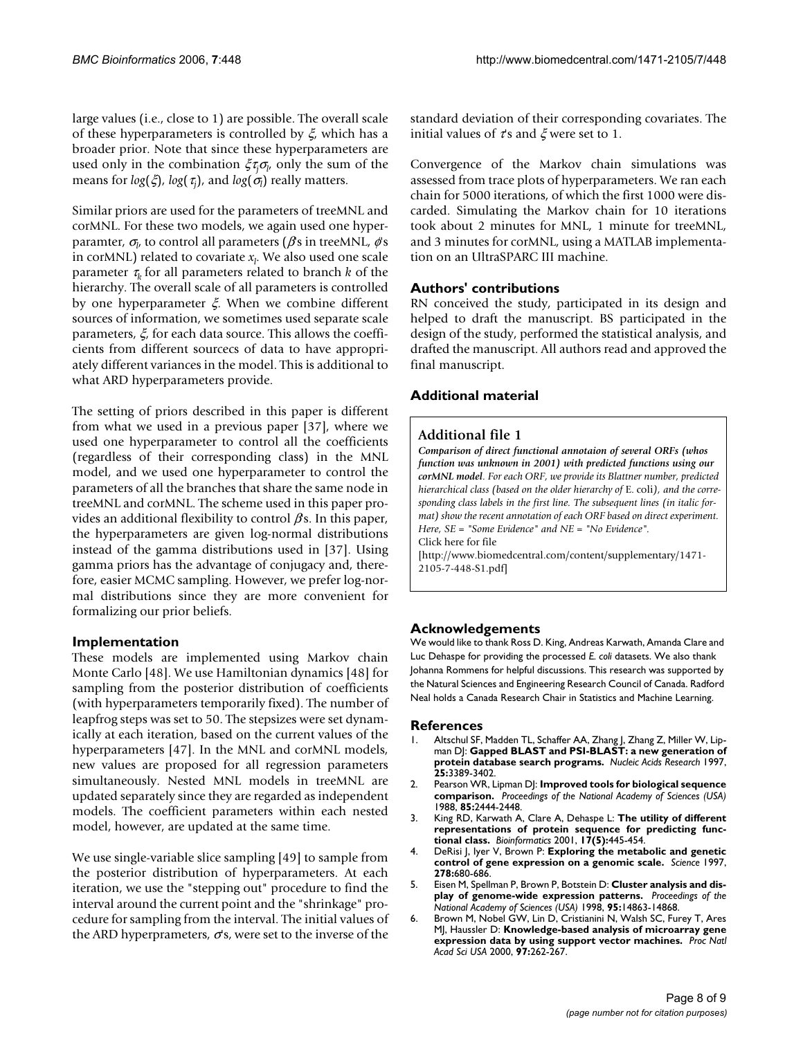large values (i.e., close to 1) are possible. The overall scale of these hyperparameters is controlled by  $\xi$ , which has a broader prior. Note that since these hyperparameters are used only in the combination ξτ*<sup>j</sup>* σ*l* , only the sum of the means for  $log(\xi)$ ,  $log(\tau_j)$ , and  $log(\sigma_l)$  really matters.

Similar priors are used for the parameters of treeMNL and corMNL. For these two models, we again used one hyperparamter,  $\sigma_{\scriptscriptstyle\!{p}}$  to control all parameters ( $\beta$ s in treeMNL,  $\phi$ 's in corMNL) related to covariate  $x_l$ . We also used one scale parameter  $\tau_k$  for all parameters related to branch *k* of the hierarchy. The overall scale of all parameters is controlled by one hyperparameter  $\xi$ . When we combine different sources of information, we sometimes used separate scale parameters, ξ, for each data source. This allows the coefficients from different sourcecs of data to have appropriately different variances in the model. This is additional to what ARD hyperparameters provide.

The setting of priors described in this paper is different from what we used in a previous paper [37], where we used one hyperparameter to control all the coefficients (regardless of their corresponding class) in the MNL model, and we used one hyperparameter to control the parameters of all the branches that share the same node in treeMNL and corMNL. The scheme used in this paper provides an additional flexibility to control  $\beta$ s. In this paper, the hyperparameters are given log-normal distributions instead of the gamma distributions used in [37]. Using gamma priors has the advantage of conjugacy and, therefore, easier MCMC sampling. However, we prefer log-normal distributions since they are more convenient for formalizing our prior beliefs.

# **Implementation**

These models are implemented using Markov chain Monte Carlo [48]. We use Hamiltonian dynamics [48] for sampling from the posterior distribution of coefficients (with hyperparameters temporarily fixed). The number of leapfrog steps was set to 50. The stepsizes were set dynamically at each iteration, based on the current values of the hyperparameters [47]. In the MNL and corMNL models, new values are proposed for all regression parameters simultaneously. Nested MNL models in treeMNL are updated separately since they are regarded as independent models. The coefficient parameters within each nested model, however, are updated at the same time.

We use single-variable slice sampling [49] to sample from the posterior distribution of hyperparameters. At each iteration, we use the "stepping out" procedure to find the interval around the current point and the "shrinkage" procedure for sampling from the interval. The initial values of the ARD hyperprameters,  $\sigma$ s, were set to the inverse of the standard deviation of their corresponding covariates. The initial values of  $\tau$ s and  $\xi$  were set to 1.

Convergence of the Markov chain simulations was assessed from trace plots of hyperparameters. We ran each chain for 5000 iterations, of which the first 1000 were discarded. Simulating the Markov chain for 10 iterations took about 2 minutes for MNL, 1 minute for treeMNL, and 3 minutes for corMNL, using a MATLAB implementation on an UltraSPARC III machine.

## **Authors' contributions**

RN conceived the study, participated in its design and helped to draft the manuscript. BS participated in the design of the study, performed the statistical analysis, and drafted the manuscript. All authors read and approved the final manuscript.

## **Additional material**

#### **Additional file 1**

*Comparison of direct functional annotaion of several ORFs (whos function was unknown in 2001) with predicted functions using our corMNL model. For each ORF, we provide its Blattner number, predicted hierarchical class (based on the older hierarchy of* E. coli*), and the corresponding class labels in the first line. The subsequent lines (in italic format) show the recent annotation of each ORF based on direct experiment. Here, SE = "Some Evidence" and NE = "No Evidence".* Click here for file

[\[http://www.biomedcentral.com/content/supplementary/1471-](http://www.biomedcentral.com/content/supplementary/1471-2105-7-448-S1.pdf) 2105-7-448-S1.pdf]

#### **Acknowledgements**

We would like to thank Ross D. King, Andreas Karwath, Amanda Clare and Luc Dehaspe for providing the processed *E. coli* datasets. We also thank Johanna Rommens for helpful discussions. This research was supported by the Natural Sciences and Engineering Research Council of Canada. Radford Neal holds a Canada Research Chair in Statistics and Machine Learning.

#### **References**

- 1. Altschul SF, Madden TL, Schaffer AA, Zhang J, Zhang Z, Miller W, Lipman DJ: **[Gapped BLAST and PSI-BLAST: a new generation of](http://www.ncbi.nlm.nih.gov/entrez/query.fcgi?cmd=Retrieve&db=PubMed&dopt=Abstract&list_uids=9254694) [protein database search programs.](http://www.ncbi.nlm.nih.gov/entrez/query.fcgi?cmd=Retrieve&db=PubMed&dopt=Abstract&list_uids=9254694)** *Nucleic Acids Research* 1997, **25:**3389-3402.
- 2. Pearson WR, Lipman DJ: **Improved tools for biological sequence comparison.** *Proceedings of the National Academy of Sciences (USA)* 1988, **85:**2444-2448.
- 3. King RD, Karwath A, Clare A, Dehaspe L: **[The utility of different](http://www.ncbi.nlm.nih.gov/entrez/query.fcgi?cmd=Retrieve&db=PubMed&dopt=Abstract&list_uids=11331239) [representations of protein sequence for predicting func](http://www.ncbi.nlm.nih.gov/entrez/query.fcgi?cmd=Retrieve&db=PubMed&dopt=Abstract&list_uids=11331239)[tional class.](http://www.ncbi.nlm.nih.gov/entrez/query.fcgi?cmd=Retrieve&db=PubMed&dopt=Abstract&list_uids=11331239)** *Bioinformatics* 2001, **17(5):**445-454.
- 4. DeRisi J, Iyer V, Brown P: **[Exploring the metabolic and genetic](http://www.ncbi.nlm.nih.gov/entrez/query.fcgi?cmd=Retrieve&db=PubMed&dopt=Abstract&list_uids=9381177) [control of gene expression on a genomic scale.](http://www.ncbi.nlm.nih.gov/entrez/query.fcgi?cmd=Retrieve&db=PubMed&dopt=Abstract&list_uids=9381177)** *Science* 1997, **278:**680-686.
- 5. Eisen M, Spellman P, Brown P, Botstein D: **Cluster analysis and display of genome-wide expression patterns.** *Proceedings of the National Academy of Sciences (USA)* 1998, **95:**14863-14868.
- 6. Brown M, Nobel GW, Lin D, Cristianini N, Walsh SC, Furey T, Ares MJ, Haussler D: **[Knowledge-based analysis of microarray gene](http://www.ncbi.nlm.nih.gov/entrez/query.fcgi?cmd=Retrieve&db=PubMed&dopt=Abstract&list_uids=10618406) [expression data by using support vector machines.](http://www.ncbi.nlm.nih.gov/entrez/query.fcgi?cmd=Retrieve&db=PubMed&dopt=Abstract&list_uids=10618406)** *Proc Natl Acad Sci USA* 2000, **97:**262-267.